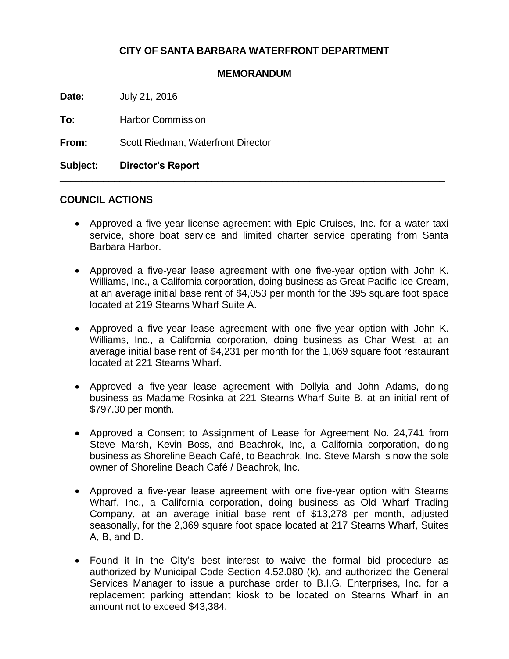## **CITY OF SANTA BARBARA WATERFRONT DEPARTMENT**

## **MEMORANDUM**

**Date:** July 21, 2016

**To:** Harbor Commission

**From:** Scott Riedman, Waterfront Director

**Subject: Director's Report**

## **COUNCIL ACTIONS**

 Approved a five-year license agreement with Epic Cruises, Inc. for a water taxi service, shore boat service and limited charter service operating from Santa Barbara Harbor.

\_\_\_\_\_\_\_\_\_\_\_\_\_\_\_\_\_\_\_\_\_\_\_\_\_\_\_\_\_\_\_\_\_\_\_\_\_\_\_\_\_\_\_\_\_\_\_\_\_\_\_\_\_\_\_\_\_\_\_\_\_\_\_\_\_\_\_\_\_\_\_

- Approved a five-year lease agreement with one five-year option with John K. Williams, Inc., a California corporation, doing business as Great Pacific Ice Cream, at an average initial base rent of \$4,053 per month for the 395 square foot space located at 219 Stearns Wharf Suite A.
- Approved a five-year lease agreement with one five-year option with John K. Williams, Inc., a California corporation, doing business as Char West, at an average initial base rent of \$4,231 per month for the 1,069 square foot restaurant located at 221 Stearns Wharf.
- Approved a five-year lease agreement with Dollyia and John Adams, doing business as Madame Rosinka at 221 Stearns Wharf Suite B, at an initial rent of \$797.30 per month.
- Approved a Consent to Assignment of Lease for Agreement No. 24,741 from Steve Marsh, Kevin Boss, and Beachrok, Inc, a California corporation, doing business as Shoreline Beach Café, to Beachrok, Inc. Steve Marsh is now the sole owner of Shoreline Beach Café / Beachrok, Inc.
- Approved a five-year lease agreement with one five-year option with Stearns Wharf, Inc., a California corporation, doing business as Old Wharf Trading Company, at an average initial base rent of \$13,278 per month, adjusted seasonally, for the 2,369 square foot space located at 217 Stearns Wharf, Suites A, B, and D.
- Found it in the City's best interest to waive the formal bid procedure as authorized by Municipal Code Section 4.52.080 (k), and authorized the General Services Manager to issue a purchase order to B.I.G. Enterprises, Inc. for a replacement parking attendant kiosk to be located on Stearns Wharf in an amount not to exceed \$43,384.